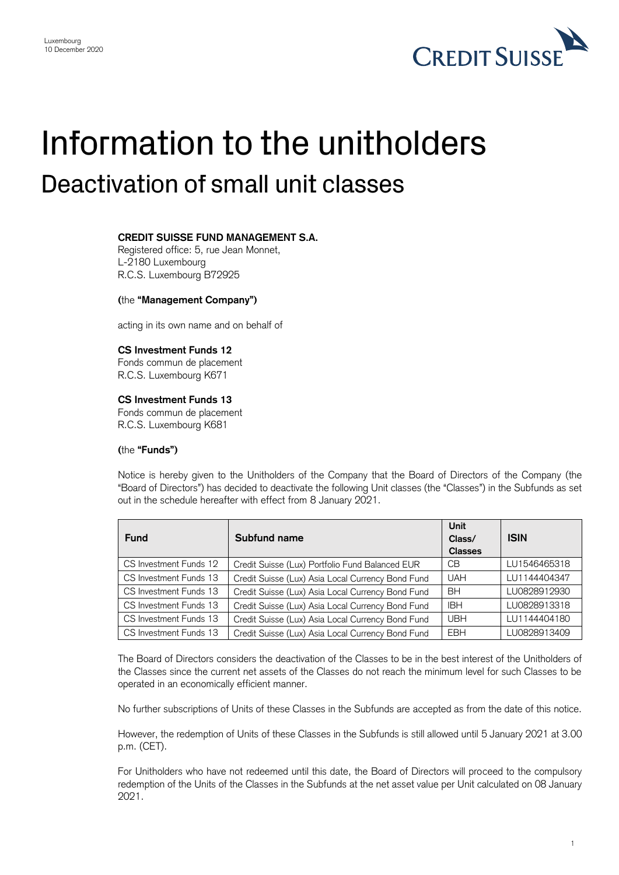

# Information to the unitholders Deactivation of small unit classes

# **CREDIT SUISSE FUND MANAGEMENT S.A.**

Registered office: 5, rue Jean Monnet, L-2180 Luxembourg R.C.S. Luxembourg B72925

## **(**the **"Management Company")**

acting in its own name and on behalf of

## **CS Investment Funds 12**

Fonds commun de placement R.C.S. Luxembourg K671

#### **CS Investment Funds 13**

 Fonds commun de placement R.C.S. Luxembourg K681

#### **(**the **"Funds")**

 Notice is hereby given to the Unitholders of the Company that the Board of Directors of the Company (the "Board of Directors") has decided to deactivate the following Unit classes (the "Classes") in the Subfunds as set out in the schedule hereafter with effect from 8 January 2021.

| <b>Fund</b>            | Subfund name                                      | Unit<br>Class/<br><b>Classes</b> | <b>ISIN</b>  |
|------------------------|---------------------------------------------------|----------------------------------|--------------|
| CS Investment Funds 12 | Credit Suisse (Lux) Portfolio Fund Balanced EUR   | CВ                               | LU1546465318 |
| CS Investment Funds 13 | Credit Suisse (Lux) Asia Local Currency Bond Fund | <b>UAH</b>                       | LU1144404347 |
| CS Investment Funds 13 | Credit Suisse (Lux) Asia Local Currency Bond Fund | <b>BH</b>                        | LU0828912930 |
| CS Investment Funds 13 | Credit Suisse (Lux) Asia Local Currency Bond Fund | <b>IBH</b>                       | LU0828913318 |
| CS Investment Funds 13 | Credit Suisse (Lux) Asia Local Currency Bond Fund | <b>UBH</b>                       | LU1144404180 |
| CS Investment Funds 13 | Credit Suisse (Lux) Asia Local Currency Bond Fund | <b>EBH</b>                       | LU0828913409 |

 The Board of Directors considers the deactivation of the Classes to be in the best interest of the Unitholders of the Classes since the current net assets of the Classes do not reach the minimum level for such Classes to be operated in an economically efficient manner.

No further subscriptions of Units of these Classes in the Subfunds are accepted as from the date of this notice.

 However, the redemption of Units of these Classes in the Subfunds is still allowed until 5 January 2021 at 3.00 p.m. (CET).

 For Unitholders who have not redeemed until this date, the Board of Directors will proceed to the compulsory redemption of the Units of the Classes in the Subfunds at the net asset value per Unit calculated on 08 January 2021.